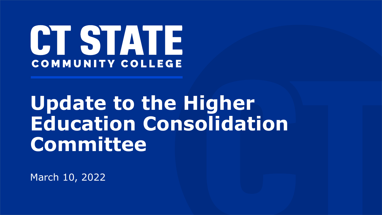

# **Update to the Higher Education Consolidation Committee**

March 10, 2022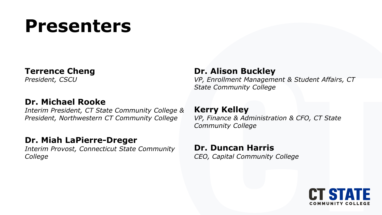## **Presenters**

### **Terrence Cheng**

*President, CSCU*

### **Dr. Michael Rooke**

*Interim President, CT State Community College & President, Northwestern CT Community College*

### **Dr. Miah LaPierre-Dreger**

*Interim Provost, Connecticut State Community College*

### **Dr. Alison Buckley**

*VP, Enrollment Management & Student Affairs, CT State Community College*

#### **Kerry Kelley** *VP, Finance & Administration & CFO, CT State Community College*

**Dr. Duncan Harris** *CEO, Capital Community College*

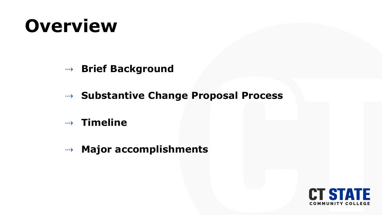## **Overview**

- ⇢ **Brief Background**
- ⇢ **Substantive Change Proposal Process**
- ⇢ **Timeline**
- ⇢ **Major accomplishments**

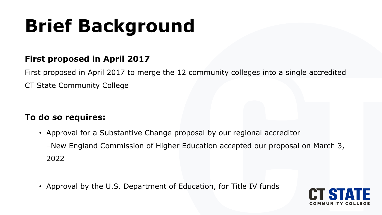# **Brief Background**

### **First proposed in April 2017**

First proposed in April 2017 to merge the 12 community colleges into a single accredited CT State Community College

### **To do so requires:**

- Approval for a Substantive Change proposal by our regional accreditor –New England Commission of Higher Education accepted our proposal on March 3, 2022
- Approval by the U.S. Department of Education, for Title IV funds

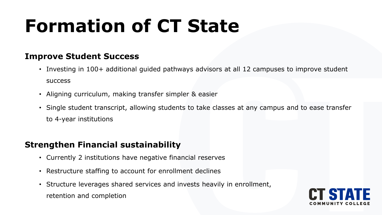# **Formation of CT State**

### **Improve Student Success**

- Investing in 100+ additional guided pathways advisors at all 12 campuses to improve student success
- Aligning curriculum, making transfer simpler & easier
- Single student transcript, allowing students to take classes at any campus and to ease transfer to 4-year institutions

### **Strengthen Financial sustainability**

- Currently 2 institutions have negative financial reserves
- Restructure staffing to account for enrollment declines
- Structure leverages shared services and invests heavily in enrollment, retention and completion

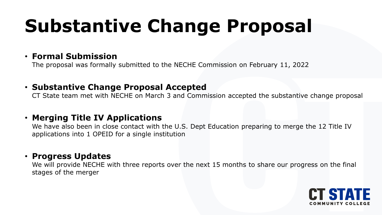# **Substantive Change Proposal**

### • **Formal Submission**

The proposal was formally submitted to the NECHE Commission on February 11, 2022

### • **Substantive Change Proposal Accepted**

CT State team met with NECHE on March 3 and Commission accepted the substantive change proposal

### • **Merging Title IV Applications**

We have also been in close contact with the U.S. Dept Education preparing to merge the 12 Title IV applications into 1 OPEID for a single institution

### • **Progress Updates**

We will provide NECHE with three reports over the next 15 months to share our progress on the final stages of the merger

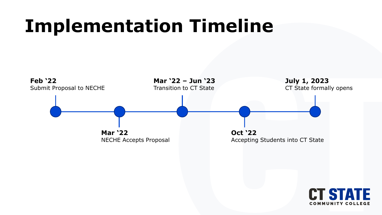## **Implementation Timeline**

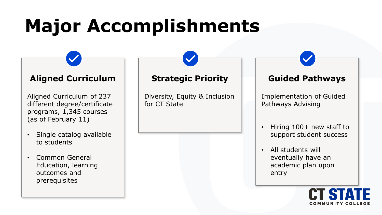# **Major Accomplishments**

#### **Aligned Curriculum**

Aligned Curriculum of 237 different degree/certificate programs, 1,345 courses (as of February 11)

- Single catalog available to students
- Common General Education, learning outcomes and prerequisites

### **Strategic Priority**

Diversity, Equity & Inclusion for CT State

### **Guided Pathways**

Implementation of Guided Pathways Advising

- Hiring 100+ new staff to support student success
- All students will eventually have an academic plan upon entry

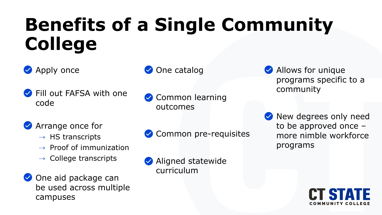# **Benefits of a Single Community College**



- **◆ Fill out FAFSA with one** code
- **◆ One catalog**
- Common learning outcomes

- ⇢ Arrange once for
	- ⇢ HS transcripts
	- $\rightarrow$  Proof of immunization
	- ⇢ College transcripts
- **◆** One aid package can be used across multiple campuses
- **◆ Common pre-requisites**
- Aligned statewide curriculum
- ⇢ Allows for unique programs specific to a community
	- New degrees only need to be approved once – more nimble workforce programs

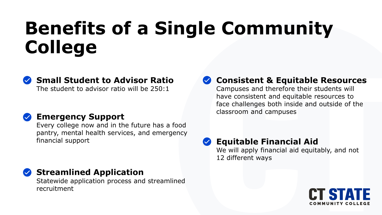# **Benefits of a Single Community College**



**Small Student to Advisor Ratio**

The student to advisor ratio will be 250:1

### **Emergency Support**

Every college now and in the future has a food pantry, mental health services, and emergency financial support

**Streamlined Application** 

Statewide application process and streamlined recruitment

### **Consistent & Equitable Resources**

Campuses and therefore their students will have consistent and equitable resources to face challenges both inside and outside of the classroom and campuses

### **Equitable Financial Aid**

We will apply financial aid equitably, and not 12 different ways

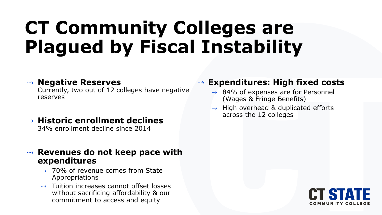## **CT Community Colleges are Plagued by Fiscal Instability**

#### ⇢ **Negative Reserves**

Currently, two out of 12 colleges have negative reserves

⇢ **Historic enrollment declines** 34% enrollment decline since 2014

#### ⇢ **Revenues do not keep pace with expenditures**

- ⇢ 70% of revenue comes from State Appropriations
- ⇢ Tuition increases cannot offset losses without sacrificing affordability & our commitment to access and equity

### ⇢ **Expenditures: High fixed costs**

- ⇢ 84% of expenses are for Personnel (Wages & Fringe Benefits)
- $\rightarrow$  High overhead & duplicated efforts across the 12 colleges

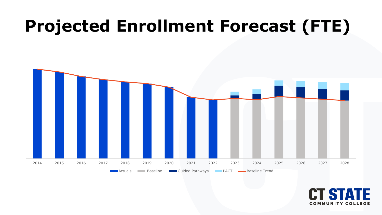### **Projected Enrollment Forecast (FTE)**



**COMMUNITY COLLEGE**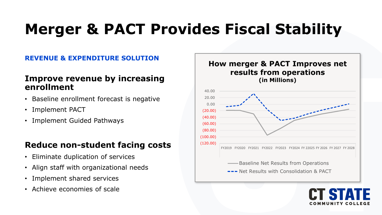## **Merger & PACT Provides Fiscal Stability**

#### **REVENUE & EXPENDITURE SOLUTION**

#### **Improve revenue by increasing enrollment**

- Baseline enrollment forecast is negative
- Implement PACT
- Implement Guided Pathways

### **Reduce non-student facing costs**

- Eliminate duplication of services
- Align staff with organizational needs
- Implement shared services
- Achieve economies of scale



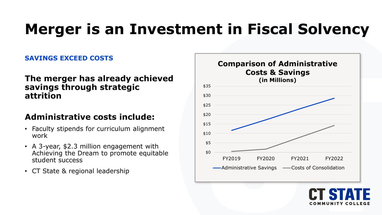### **Merger is an Investment in Fiscal Solvency**

#### **SAVINGS EXCEED COSTS**

#### **The merger has already achieved savings through strategic attrition**

### **Administrative costs include:**

- Faculty stipends for curriculum alignment work
- A 3-year, \$2.3 million engagement with Achieving the Dream to promote equitable student success
- CT State & regional leadership

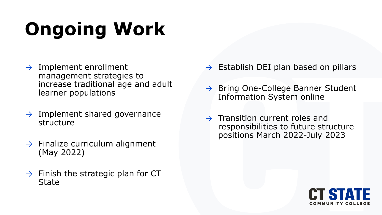# **Ongoing Work**

- $\rightarrow$  Implement enrollment management strategies to increase traditional age and adult learner populations
- $\rightarrow$  Implement shared governance structure
- $\rightarrow$  Finalize curriculum alignment (May 2022)
- $\rightarrow$  Finish the strategic plan for CT State
- $\rightarrow$  Establish DEI plan based on pillars
- $\rightarrow$  Bring One-College Banner Student Information System online
- $\rightarrow$  Transition current roles and responsibilities to future structure positions March 2022-July 2023

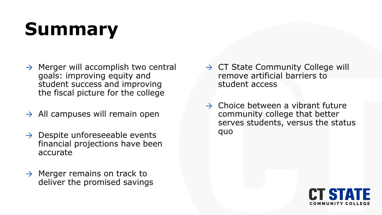# **Summary**

- $\rightarrow$  Merger will accomplish two central goals: improving equity and student success and improving the fiscal picture for the college
- $\rightarrow$  All campuses will remain open
- $\rightarrow$  Despite unforeseeable events financial projections have been accurate
- $\rightarrow$  Merger remains on track to deliver the promised savings
- $\rightarrow$  CT State Community College will remove artificial barriers to student access
- $\rightarrow$  Choice between a vibrant future community college that better serves students, versus the status quo